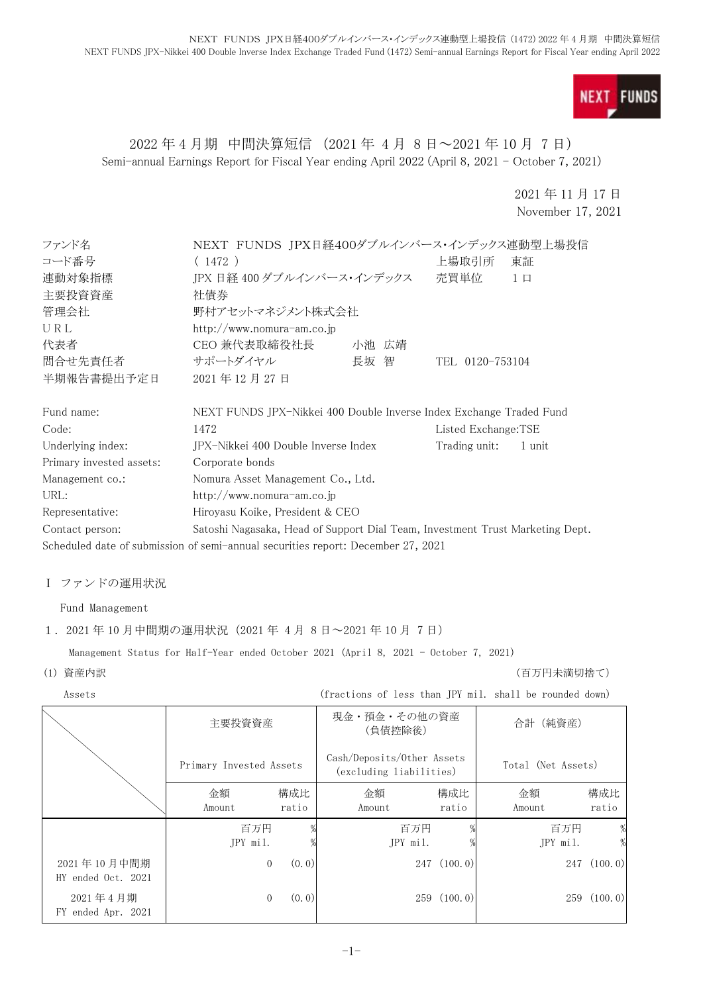

## 2022 年 4 月期 中間決算短信 (2021 年 4 月 8 日~2021 年 10 月 7 日) Semi-annual Earnings Report for Fiscal Year ending April 2022 (April 8, 2021 - October 7, 2021)

2021 年 11 月 17 日 November 17, 2021

| ファンド名                    | NEXT FUNDS JPX日経400ダブルインバース・インデックス連動型上場投信                                        |       |                     |          |
|--------------------------|----------------------------------------------------------------------------------|-------|---------------------|----------|
| コード番号                    | (1472)                                                                           |       | 上場取引所               | 東証       |
| 連動対象指標                   | IPX 日経 400 ダブルインバース・インデックス                                                       |       | 売買単位                | $1 \Box$ |
| 主要投資資産                   | 社債券                                                                              |       |                     |          |
| 管理会社                     | 野村アセットマネジメント株式会社                                                                 |       |                     |          |
| URL                      | http://www.nomura-am.co.jp                                                       |       |                     |          |
| 代表者                      | CEO 兼代表取締役社長                                                                     | 小池 広靖 |                     |          |
| 問合せ先責任者                  | サポートダイヤル                                                                         | 長坂 智  | TEL 0120-753104     |          |
| 半期報告書提出予定日               | 2021年12月27日                                                                      |       |                     |          |
| Fund name:               | NEXT FUNDS JPX-Nikkei 400 Double Inverse Index Exchange Traded Fund              |       |                     |          |
| Code:                    | 1472                                                                             |       | Listed Exchange:TSE |          |
| Underlying index:        | JPX-Nikkei 400 Double Inverse Index                                              |       | Trading unit:       | 1 unit   |
| Primary invested assets: | Corporate bonds                                                                  |       |                     |          |
| Management co.:          | Nomura Asset Management Co., Ltd.                                                |       |                     |          |
| URL:                     | http://www.nomura-am.co.jp                                                       |       |                     |          |
| Representative:          | Hiroyasu Koike, President & CEO                                                  |       |                     |          |
| Contact person:          | Satoshi Nagasaka, Head of Support Dial Team, Investment Trust Marketing Dept.    |       |                     |          |
|                          | Scheduled date of submission of semi-annual securities report: December 27, 2021 |       |                     |          |

#### Ⅰ ファンドの運用状況

Fund Management

#### 1.2021 年 10 月中間期の運用状況(2021 年 4 月 8 日~2021 年 10 月 7 日)

Management Status for Half-Year ended October 2021 (April 8, 2021 - October 7, 2021)

(1) 資産内訳 (百万円未満切捨て)

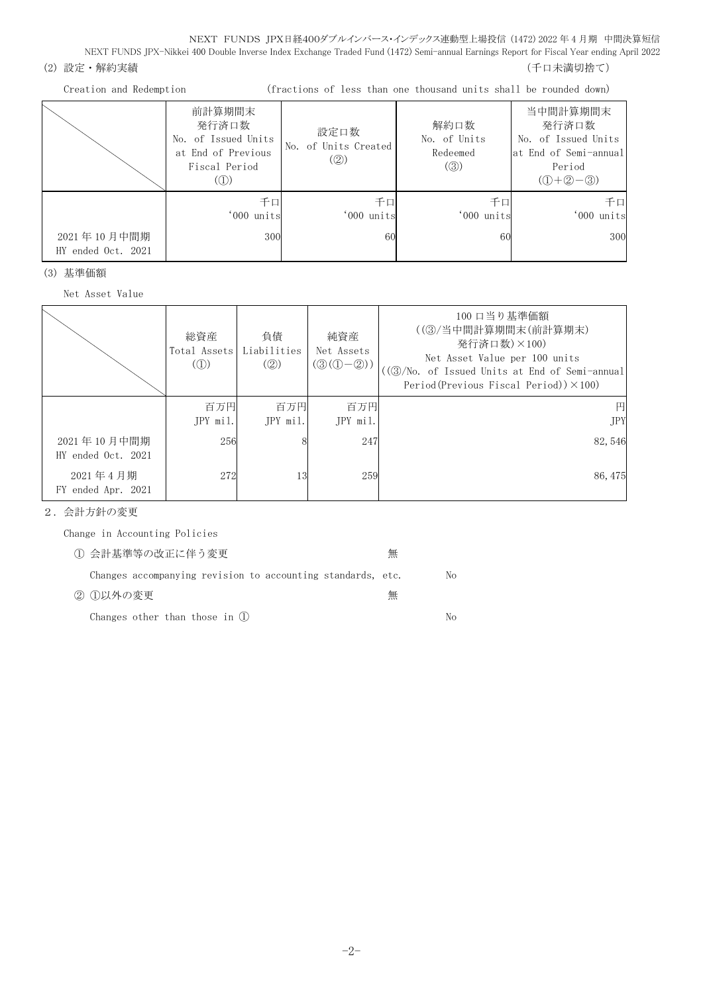NEXT FUNDS JPX日経400ダブルインバース・インデックス連動型上場投信 (1472) 2022 年 4 月期 中間決算短信 NEXT FUNDS JPX-Nikkei 400 Double Inverse Index Exchange Traded Fund (1472) Semi-annual Earnings Report for Fiscal Year ending April 2022

## (2) 設定・解約実績 (5) アンチュー インスター (5) アンチュー (5) アンチュー (千口未満切捨て)

Creation and Redemption (fractions of less than one thousand units shall be rounded down)

|                    | 前計算期間末<br>発行済口数<br>No. of Issued Units<br>at End of Previous<br>Fiscal Period<br>(1) | 設定口数<br>No. of Units Created<br>(2) | 解約口数<br>No. of Units<br>Redeemed<br>$\left( \circledS \right)$ | 当中間計算期間末<br>発行済口数<br>No. of Issued Units<br>at End of Semi-annual<br>Period<br>$(① + ② - ③)$ |
|--------------------|--------------------------------------------------------------------------------------|-------------------------------------|----------------------------------------------------------------|----------------------------------------------------------------------------------------------|
| 2021年10月中間期        | 千口<br>'000 units<br>300                                                              | 千口<br>'000 units<br>60              | 千口<br>'000 units<br>60                                         | 千口<br>'000 units<br>300                                                                      |
| HY ended Oct. 2021 |                                                                                      |                                     |                                                                |                                                                                              |

(3) 基準価額

Net Asset Value

|                                   | 総資産<br>Total Assets<br>$\left(\circled{1}\right)$ | 負債<br>Liabilities<br>(Q) | 純資産<br>Net Assets<br>$(\mathcal{D}(\mathbb{O}-\mathbb{Q}))$ | 100 口当り基準価額<br>((3)/当中間計算期間末(前計算期末)<br>発行済口数)×100)<br>Net Asset Value per 100 units<br>((3)/No. of Issued Units at End of Semi-annual<br>Period(Previous Fiscal Period)) $\times$ 100) |
|-----------------------------------|---------------------------------------------------|--------------------------|-------------------------------------------------------------|----------------------------------------------------------------------------------------------------------------------------------------------------------------------------------------|
|                                   | 百万円<br>JPY mil.                                   | 百万円<br>JPY mil.          | 百万円<br>JPY mil.                                             | 円<br><b>JPY</b>                                                                                                                                                                        |
| 2021年10月中間期<br>HY ended Oct. 2021 | 256                                               |                          | 247                                                         | 82,546                                                                                                                                                                                 |
| 2021年4月期<br>FY ended Apr. 2021    | 272                                               | 13                       | 259                                                         | 86, 475                                                                                                                                                                                |

2.会計方針の変更

Change in Accounting Policies

| 1 会計基準等の改正に伴う変更                                             | 無 |     |
|-------------------------------------------------------------|---|-----|
| Changes accompanying revision to accounting standards, etc. |   | No  |
| ② ①以外の変更                                                    | 無 |     |
| Changes other than those in $(1)$                           |   | No. |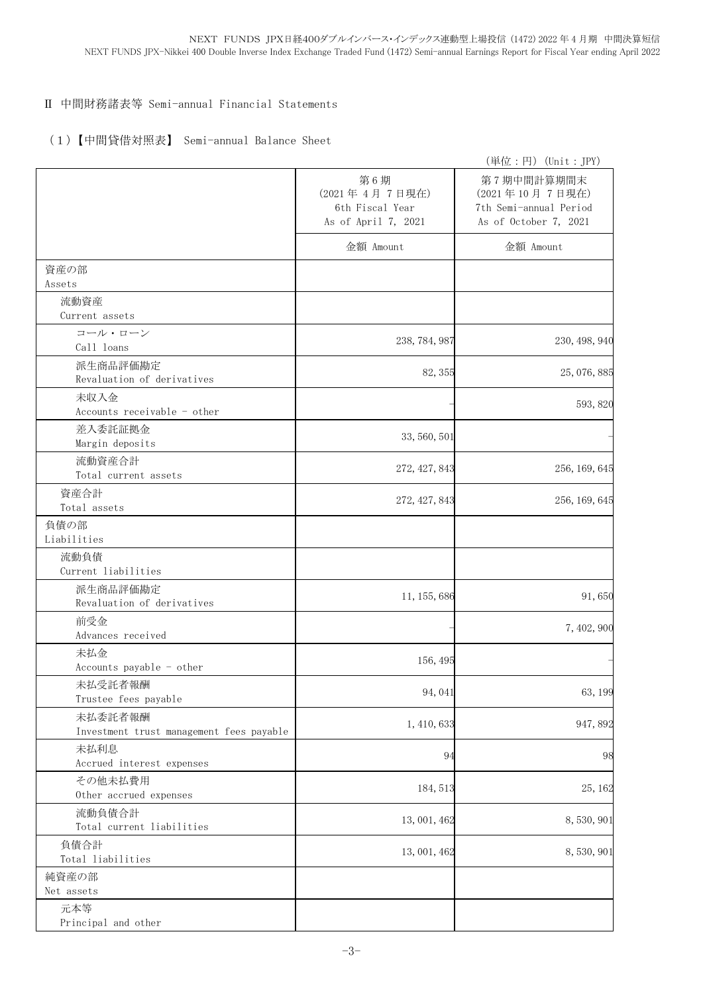#### Ⅱ 中間財務諸表等 Semi-annual Financial Statements

### (1)【中間貸借対照表】 Semi-annual Balance Sheet

|                                                     |                                                                | (単位:円) (Unit: JPY)                                                              |
|-----------------------------------------------------|----------------------------------------------------------------|---------------------------------------------------------------------------------|
|                                                     | 第6期<br>(2021年4月7日現在)<br>6th Fiscal Year<br>As of April 7, 2021 | 第7期中間計算期間末<br>(2021年10月7日現在)<br>7th Semi-annual Period<br>As of October 7, 2021 |
|                                                     | 金額 Amount                                                      | 金額 Amount                                                                       |
| 資産の部<br>Assets                                      |                                                                |                                                                                 |
| 流動資産<br>Current assets                              |                                                                |                                                                                 |
| コール・ローン<br>Call loans                               | 238, 784, 987                                                  | 230, 498, 940                                                                   |
| 派生商品評価勘定<br>Revaluation of derivatives              | 82, 355                                                        | 25, 076, 885                                                                    |
| 未収入金<br>Accounts receivable - other                 |                                                                | 593, 820                                                                        |
| 差入委託証拠金<br>Margin deposits                          | 33, 560, 501                                                   |                                                                                 |
| 流動資産合計<br>Total current assets                      | 272, 427, 843                                                  | 256, 169, 645                                                                   |
| 資産合計<br>Total assets                                | 272, 427, 843                                                  | 256, 169, 645                                                                   |
| 負債の部<br>Liabilities                                 |                                                                |                                                                                 |
| 流動負債<br>Current liabilities                         |                                                                |                                                                                 |
| 派生商品評価勘定<br>Revaluation of derivatives              | 11, 155, 686                                                   | 91,650                                                                          |
| 前受金<br>Advances received                            |                                                                | 7, 402, 900                                                                     |
| 未払金<br>Accounts payable - other                     | 156, 495                                                       |                                                                                 |
| 未払受託者報酬<br>Trustee fees payable                     | 94,041                                                         | 63, 199                                                                         |
| 未払委託者報酬<br>Investment trust management fees payable | 1, 410, 633                                                    | 947,892                                                                         |
| 未払利息<br>Accrued interest expenses                   | 94                                                             | 98                                                                              |
| その他未払費用<br>Other accrued expenses                   | 184, 513                                                       | 25, 162                                                                         |
| 流動負債合計<br>Total current liabilities                 | 13, 001, 462                                                   | 8,530,901                                                                       |
| 負債合計<br>Total liabilities                           | 13, 001, 462                                                   | 8,530,901                                                                       |
| 純資産の部<br>Net assets                                 |                                                                |                                                                                 |
| 元本等<br>Principal and other                          |                                                                |                                                                                 |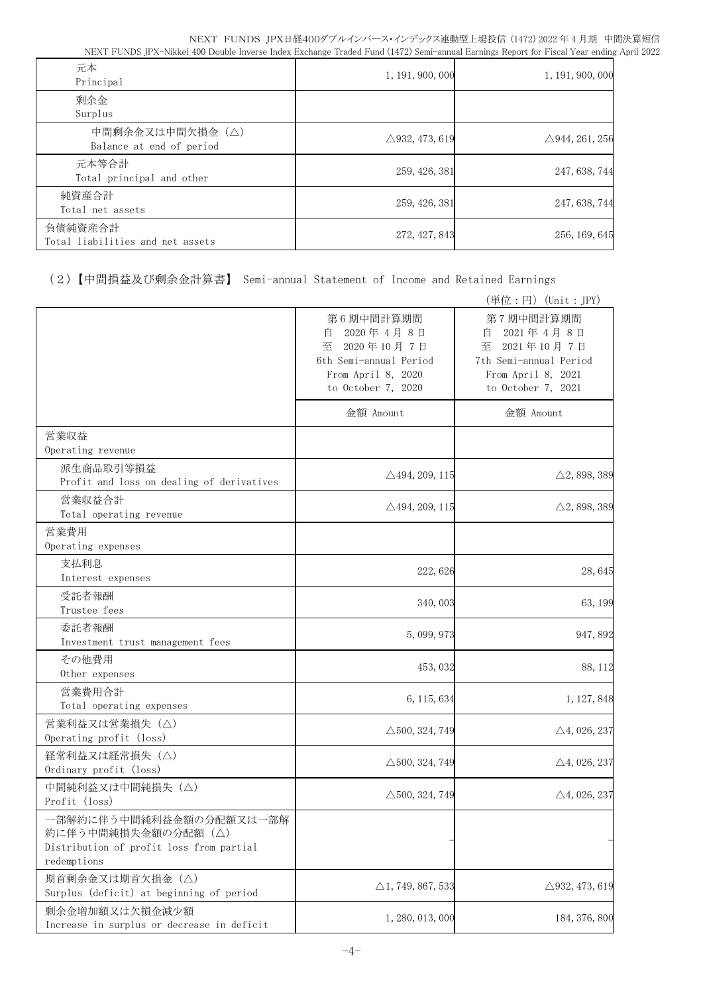| 元本<br>Principal                             | 1, 191, 900, 000          | 1, 191, 900, 000          |
|---------------------------------------------|---------------------------|---------------------------|
| 剰余金<br>Surplus                              |                           |                           |
| 中間剰余金又は中間欠損金(△)<br>Balance at end of period | $\triangle$ 932, 473, 619 | $\triangle$ 944, 261, 256 |
| 元本等合計<br>Total principal and other          | 259, 426, 381             | 247, 638, 744             |
| 純資産合計<br>Total net assets                   | 259, 426, 381             | 247, 638, 744             |
| 負債純資産合計<br>Total liabilities and net assets | 272, 427, 843             | 256, 169, 645             |

(2)【中間損益及び剰余金計算書】 Semi-annual Statement of Income and Retained Earnings

|                                                                                                          |                                                                                                                      | (単位:円) (Unit:JPY)                                                                                                    |
|----------------------------------------------------------------------------------------------------------|----------------------------------------------------------------------------------------------------------------------|----------------------------------------------------------------------------------------------------------------------|
|                                                                                                          | 第6期中間計算期間<br>2020年4月8日<br>自<br>至<br>2020年10月7日<br>6th Semi-annual Period<br>From April 8, 2020<br>to October 7, 2020 | 第7期中間計算期間<br>2021年4月8日<br>目<br>至<br>2021年10月7日<br>7th Semi-annual Period<br>From April 8, 2021<br>to October 7, 2021 |
|                                                                                                          | 金額 Amount                                                                                                            | 金額 Amount                                                                                                            |
| 営業収益<br>Operating revenue                                                                                |                                                                                                                      |                                                                                                                      |
| 派生商品取引等損益<br>Profit and loss on dealing of derivatives                                                   | $\triangle$ 494, 209, 115                                                                                            | $\triangle$ 2, 898, 389                                                                                              |
| 営業収益合計<br>Total operating revenue                                                                        | $\triangle$ 494, 209, 115                                                                                            | $\triangle$ 2, 898, 389                                                                                              |
| 営業費用<br>Operating expenses                                                                               |                                                                                                                      |                                                                                                                      |
| 支払利息<br>Interest expenses                                                                                | 222, 626                                                                                                             | 28,645                                                                                                               |
| 受託者報酬<br>Trustee fees                                                                                    | 340,003                                                                                                              | 63, 199                                                                                                              |
| 委託者報酬<br>Investment trust management fees                                                                | 5,099,973                                                                                                            | 947,892                                                                                                              |
| その他費用<br>Other expenses                                                                                  | 453, 032                                                                                                             | 88, 112                                                                                                              |
| 営業費用合計<br>Total operating expenses                                                                       | 6, 115, 634                                                                                                          | 1, 127, 848                                                                                                          |
| 営業利益又は営業損失(△)<br>Operating profit (loss)                                                                 | $\triangle$ 500, 324, 749                                                                                            | $\triangle$ 4, 026, 237                                                                                              |
| 経常利益又は経常損失 (△)<br>Ordinary profit (loss)                                                                 | $\triangle$ 500, 324, 749                                                                                            | $\triangle$ 4, 026, 237                                                                                              |
| 中間純利益又は中間純損失(△)<br>Profit (loss)                                                                         | $\triangle$ 500, 324, 749                                                                                            | $\triangle$ 4, 026, 237                                                                                              |
| 一部解約に伴う中間純利益金額の分配額又は一部解<br>約に伴う中間純損失金額の分配額(△)<br>Distribution of profit loss from partial<br>redemptions |                                                                                                                      |                                                                                                                      |
| 期首剰余金又は期首欠損金(△)<br>Surplus (deficit) at beginning of period                                              | $\triangle$ 1, 749, 867, 533                                                                                         | $\triangle$ 932, 473, 619                                                                                            |
| 剰余金増加額又は欠損金減少額<br>Increase in surplus or decrease in deficit                                             | 1, 280, 013, 000                                                                                                     | 184, 376, 800                                                                                                        |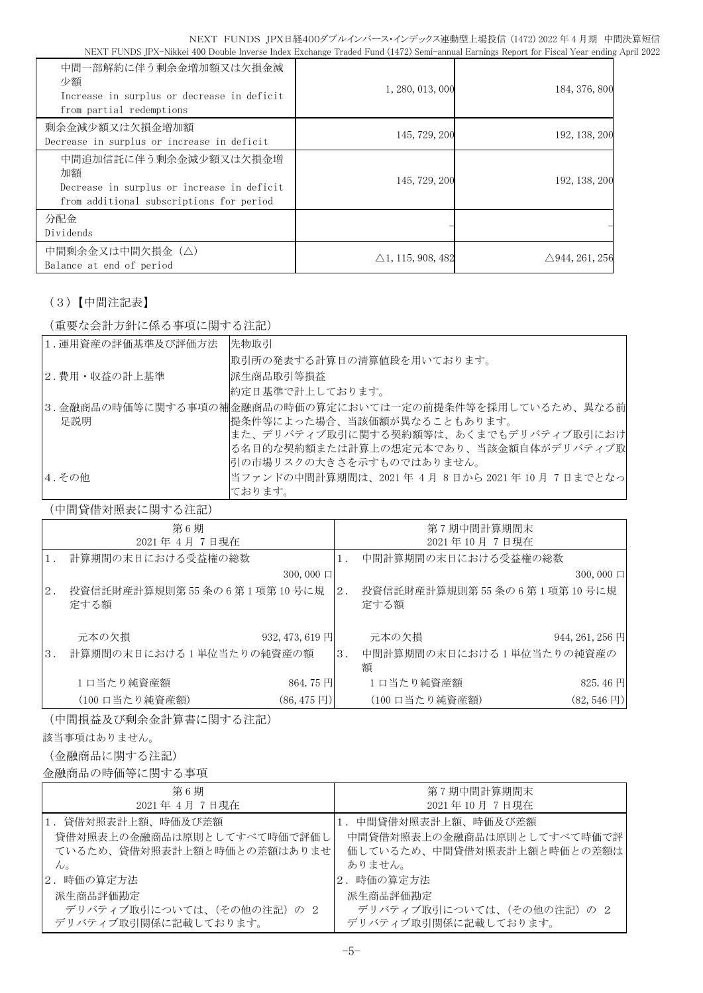| 中間一部解約に伴う剰余金増加額又は欠損金減<br>少額<br>Increase in surplus or decrease in deficit<br>from partial redemptions                 | 1, 280, 013, 000             | 184, 376, 800             |
|-----------------------------------------------------------------------------------------------------------------------|------------------------------|---------------------------|
| 剰余金減少額又は欠損金増加額<br>Decrease in surplus or increase in deficit                                                          | 145, 729, 200                | 192, 138, 200             |
| 中間追加信託に伴う剰余金減少額又は欠損金増<br>加額<br>Decrease in surplus or increase in deficit<br>from additional subscriptions for period | 145, 729, 200                | 192, 138, 200             |
| 分配金<br>Dividends                                                                                                      |                              |                           |
| 中間剰余金又は中間欠損金(△)<br>Balance at end of period                                                                           | $\triangle$ 1, 115, 908, 482 | $\triangle$ 944, 261, 256 |

# (3)【中間注記表】

(重要な会計方針に係る事項に関する注記)

| 1. 運用資産の評価基準及び評価方法 | 先物取引                                                    |
|--------------------|---------------------------------------------------------|
|                    | 取引所の発表する計算日の清算値段を用いております。                               |
| 2.費用・収益の計上基準       | 派生商品取引等損益                                               |
|                    | 約定日基準で計上しております。                                         |
|                    | 3.金融商品の時価等に関する事項の補金融商品の時価の算定においては一定の前提条件等を採用しているため、異なる前 |
| 足説明                | 提条件等によった場合、当該価額が異なることもあります。                             |
|                    | また、デリバティブ取引に関する契約額等は、あくまでもデリバティブ取引におけ                   |
|                    | る名目的な契約額または計算上の想定元本であり、当該金額自体がデリバティブ取                   |
|                    | 引の市場リスクの大きさを示すものではありません。                                |
| 4.その他              | 当ファンドの中間計算期間は、2021年4月8日から2021年10月7日までとなっ                |
|                    | ております。                                                  |

(中間貸借対照表に関する注記)

|       | 第6期                               |                         |    | 第7期中間計算期間末                        |                       |
|-------|-----------------------------------|-------------------------|----|-----------------------------------|-----------------------|
|       | 2021年4月7日現在                       |                         |    | 2021年10月7日現在                      |                       |
|       | 計算期間の末日における受益権の総数                 |                         |    | 中間計算期間の末日における受益権の総数               |                       |
|       |                                   | $300,000 \Box$          |    |                                   | $300,000 \Box$        |
| $2$ . | 投資信託財産計算規則第55条の6第1項第10号に規<br>定する額 |                         | 2. | 投資信託財産計算規則第55条の6第1項第10号に規<br>定する額 |                       |
|       | 元本の欠損                             | 932, 473, 619 円         |    | 元本の欠損                             | 944, 261, 256 円       |
| 3.    | 計算期間の末日における1単位当たりの純資産の額           |                         | 3. | 中間計算期間の末日における1単位当たりの純資産の<br>額     |                       |
|       | 1口当たり純資産額                         | 864.75円                 |    | 1日当たり純資産額                         | 825.46円               |
|       | (100 口当たり純資産額)                    | $(86, 475 \,\boxtimes)$ |    | (100 口当たり純資産額)                    | $(82, 546 \text{ H})$ |

(中間損益及び剰余金計算書に関する注記)

該当事項はありません。

(金融商品に関する注記)

金融商品の時価等に関する事項

| 第6期                        | 第7期中間計算期間末                 |
|----------------------------|----------------------------|
| 2021年 4月 7日現在              | 2021年10月7日現在               |
| 1.貸借対照表計上額、時価及び差額          | 1. 中間貸借対照表計上額、時価及び差額       |
| 貸借対照表上の金融商品は原則としてすべて時価で評価し | 中間貸借対照表上の金融商品は原則としてすべて時価で評 |
| ているため、貸借対照表計上額と時価との差額はありませ | 価しているため、中間貸借対照表計上額と時価との差額は |
| $\mathcal{L}_{\circ}$      | ありません。                     |
| 2.時価の算定方法                  | 2. 時価の算定方法                 |
| 派生商品評価勘定                   | 派生商品評価勘定                   |
| デリバティブ取引については、(その他の注記)の2   | デリバティブ取引については、(その他の注記)の2   |
| デリバティブ取引関係に記載しております。       | デリバティブ取引関係に記載しております。       |